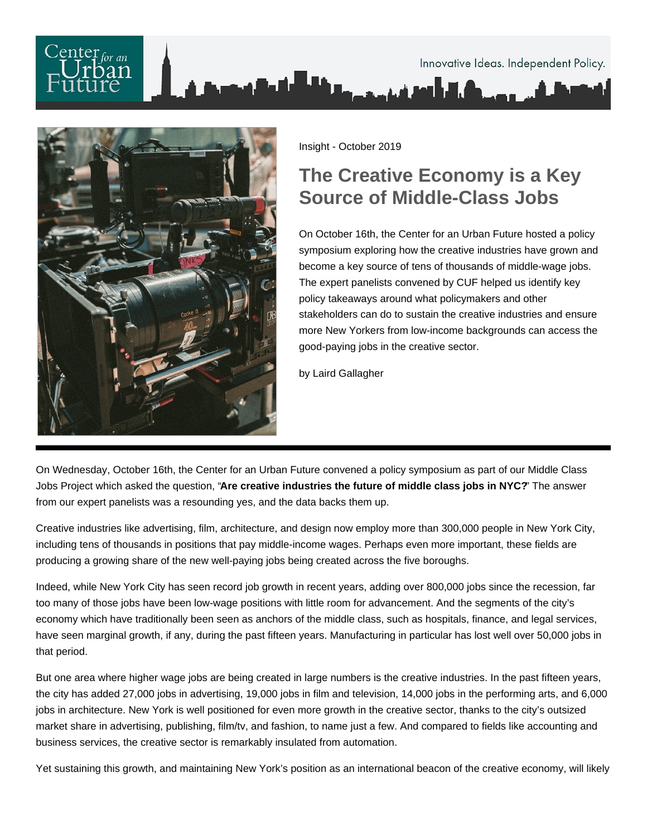## Innovative Ideas. Independent Policy.



Insight - October 2019

## **The Creative Economy is a Key Source of Middle-Class Jobs**

On October 16th, the Center for an Urban Future hosted a policy symposium exploring how the creative industries have grown and become a key source of tens of thousands of middle-wage jobs. The expert panelists convened by CUF helped us identify key policy takeaways around what policymakers and other stakeholders can do to sustain the creative industries and ensure more New Yorkers from low-income backgrounds can access the good-paying jobs in the creative sector.

by Laird Gallagher

On Wednesday, October 16th, the Center for an Urban Future convened a policy symposium as part of our Middle Class Jobs Project which asked the question, "**Are creative industries the future of middle class jobs in NYC?**" The answer from our expert panelists was a resounding yes, and the data backs them up.

Creative industries like advertising, film, architecture, and design now employ more than 300,000 people in New York City, including tens of thousands in positions that pay middle-income wages. Perhaps even more important, these fields are producing a growing share of the new well-paying jobs being created across the five boroughs.

Indeed, while New York City has seen record job growth in recent years, adding over 800,000 jobs since the recession, far too many of those jobs have been low-wage positions with little room for advancement. And the segments of the city's economy which have traditionally been seen as anchors of the middle class, such as hospitals, finance, and legal services, have seen marginal growth, if any, during the past fifteen years. Manufacturing in particular has lost well over 50,000 jobs in that period.

But one area where higher wage jobs are being created in large numbers is the creative industries. In the past fifteen years, the city has added 27,000 jobs in advertising, 19,000 jobs in film and television, 14,000 jobs in the performing arts, and 6,000 jobs in architecture. New York is well positioned for even more growth in the creative sector, thanks to the city's outsized market share in advertising, publishing, film/tv, and fashion, to name just a few. And compared to fields like accounting and business services, the creative sector is remarkably insulated from automation.

Yet sustaining this growth, and maintaining New York's position as an international beacon of the creative economy, will likely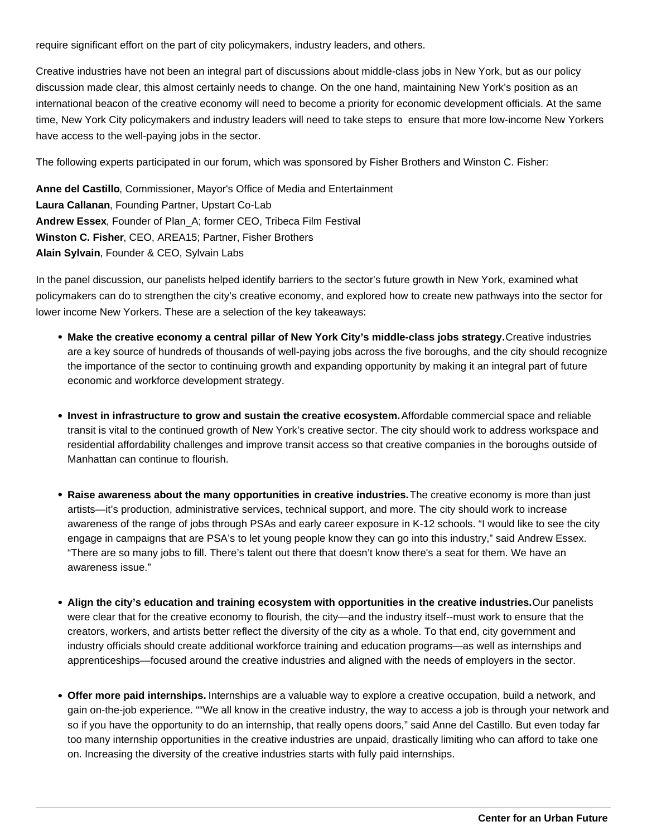require significant effort on the part of city policymakers, industry leaders, and others.

Creative industries have not been an integral part of discussions about middle-class jobs in New York, but as our policy discussion made clear, this almost certainly needs to change. On the one hand, maintaining New York's position as an international beacon of the creative economy will need to become a priority for economic development officials. At the same time, New York City policymakers and industry leaders will need to take steps to ensure that more low-income New Yorkers have access to the well-paying jobs in the sector.

The following experts participated in our forum, which was sponsored by Fisher Brothers and Winston C. Fisher:

**Anne del Castillo**, Commissioner, Mayor's Office of Media and Entertainment **Laura Callanan**, Founding Partner, Upstart Co-Lab **Andrew Essex**, Founder of Plan\_A; former CEO, Tribeca Film Festival **Winston C. Fisher**, CEO, AREA15; Partner, Fisher Brothers **Alain Sylvain**, Founder & CEO, Sylvain Labs

In the panel discussion, our panelists helped identify barriers to the sector's future growth in New York, examined what policymakers can do to strengthen the city's creative economy, and explored how to create new pathways into the sector for lower income New Yorkers. These are a selection of the key takeaways:

- **Make the creative economy a central pillar of New York City's middle-class jobs strategy. Creative industries** are a key source of hundreds of thousands of well-paying jobs across the five boroughs, and the city should recognize the importance of the sector to continuing growth and expanding opportunity by making it an integral part of future economic and workforce development strategy.
- **Invest in infrastructure to grow and sustain the creative ecosystem.** Affordable commercial space and reliable transit is vital to the continued growth of New York's creative sector. The city should work to address workspace and residential affordability challenges and improve transit access so that creative companies in the boroughs outside of Manhattan can continue to flourish.
- **Raise awareness about the many opportunities in creative industries.** The creative economy is more than just artists—it's production, administrative services, technical support, and more. The city should work to increase awareness of the range of jobs through PSAs and early career exposure in K-12 schools. "I would like to see the city engage in campaigns that are PSA's to let young people know they can go into this industry," said Andrew Essex. "There are so many jobs to fill. There's talent out there that doesn't know there's a seat for them. We have an awareness issue."
- **Align the city's education and training ecosystem with opportunities in the creative industries.** Our panelists were clear that for the creative economy to flourish, the city—and the industry itself--must work to ensure that the creators, workers, and artists better reflect the diversity of the city as a whole. To that end, city government and industry officials should create additional workforce training and education programs—as well as internships and apprenticeships—focused around the creative industries and aligned with the needs of employers in the sector.
- **Offer more paid internships.** Internships are a valuable way to explore a creative occupation, build a network, and gain on-the-job experience. ""We all know in the creative industry, the way to access a job is through your network and so if you have the opportunity to do an internship, that really opens doors," said Anne del Castillo. But even today far too many internship opportunities in the creative industries are unpaid, drastically limiting who can afford to take one on. Increasing the diversity of the creative industries starts with fully paid internships.